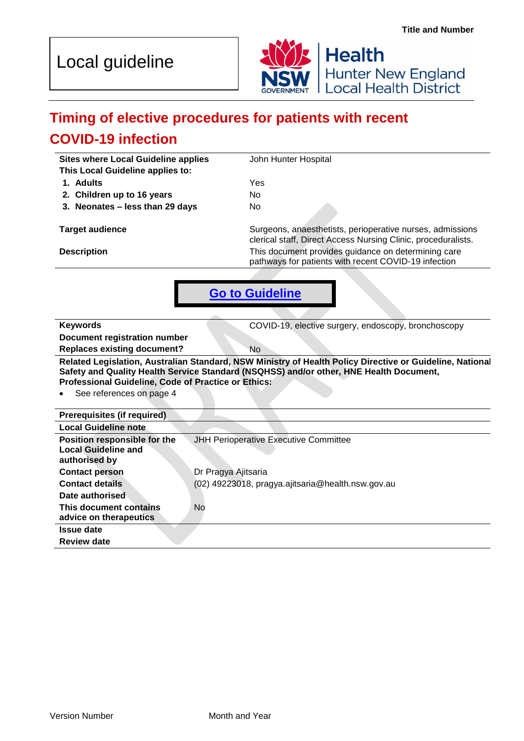



# **Timing of elective procedures for patients with recent COVID-19 infection**

**Sites where Local Guideline applies** John Hunter Hospital

**This Local Guideline applies to:**

**1. Adults** Yes

**2. Children up to 16 years** No **3. Neonates – less than 29 days** No

**Target audience** Surgeons, anaesthetists, perioperative nurses, admissions clerical staff, Direct Access Nursing Clinic, proceduralists. **Description Description This document provides guidance on determining care** pathways for patients with recent COVID-19 infection



**Keywords COVID-19, elective surgery, endoscopy, bronchoscopy Document registration number Replaces existing document?** No **Related Legislation, Australian Standard, NSW Ministry of Health Policy Directive or Guideline, National Safety and Quality Health Service Standard (NSQHSS) and/or other, HNE Health Document, Professional Guideline, Code of Practice or Ethics:**

See references on page 4

| Prerequisites (if required)                                                 |                                                                          |
|-----------------------------------------------------------------------------|--------------------------------------------------------------------------|
| <b>Local Guideline note</b>                                                 |                                                                          |
| Position responsible for the<br><b>Local Guideline and</b><br>authorised by | JHH Perioperative Executive Committee                                    |
| <b>Contact person</b><br><b>Contact details</b>                             | Dr Pragya Ajitsaria<br>(02) 49223018, pragya.ajitsaria@health.nsw.gov.au |
| Date authorised                                                             |                                                                          |
| This document contains<br>advice on therapeutics                            | No                                                                       |
| <b>Issue date</b>                                                           |                                                                          |
| <b>Review date</b>                                                          |                                                                          |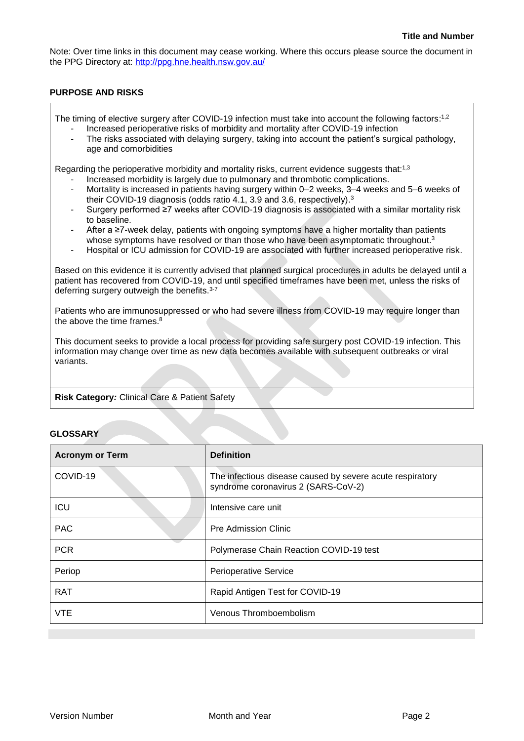Note: Over time links in this document may cease working. Where this occurs please source the document in the PPG Directory at:<http://ppg.hne.health.nsw.gov.au/>

#### **PURPOSE AND RISKS**

The timing of elective surgery after COVID-19 infection must take into account the following factors:<sup>1,2</sup>

- Increased perioperative risks of morbidity and mortality after COVID-19 infection
- The risks associated with delaying surgery, taking into account the patient's surgical pathology, age and comorbidities

Regarding the perioperative morbidity and mortality risks, current evidence suggests that:1,3

- Increased morbidity is largely due to pulmonary and thrombotic complications.
- Mortality is increased in patients having surgery within 0–2 weeks, 3–4 weeks and 5–6 weeks of their COVID-19 diagnosis (odds ratio 4.1, 3.9 and 3.6, respectively).<sup>3</sup>
- Surgery performed ≥7 weeks after COVID-19 diagnosis is associated with a similar mortality risk to baseline.
- After a ≥7-week delay, patients with ongoing symptoms have a higher mortality than patients whose symptoms have resolved or than those who have been asymptomatic throughout.<sup>3</sup>
- Hospital or ICU admission for COVID-19 are associated with further increased perioperative risk.

Based on this evidence it is currently advised that planned surgical procedures in adults be delayed until a patient has recovered from COVID-19, and until specified timeframes have been met, unless the risks of deferring surgery outweigh the benefits.<sup>3-7</sup>

Patients who are immunosuppressed or who had severe illness from COVID-19 may require longer than the above the time frames. 8

This document seeks to provide a local process for providing safe surgery post COVID-19 infection. This information may change over time as new data becomes available with subsequent outbreaks or viral variants.

#### **Risk Category***:* Clinical Care & Patient Safety

#### **GLOSSARY**

<span id="page-1-0"></span>

| <b>Acronym or Term</b> | <b>Definition</b>                                                                                |
|------------------------|--------------------------------------------------------------------------------------------------|
| COVID-19               | The infectious disease caused by severe acute respiratory<br>syndrome coronavirus 2 (SARS-CoV-2) |
| <b>ICU</b>             | Intensive care unit                                                                              |
| <b>PAC</b>             | <b>Pre Admission Clinic</b>                                                                      |
| <b>PCR</b>             | Polymerase Chain Reaction COVID-19 test                                                          |
| Periop                 | <b>Perioperative Service</b>                                                                     |
| <b>RAT</b>             | Rapid Antigen Test for COVID-19                                                                  |
| <b>VTE</b>             | Venous Thromboembolism                                                                           |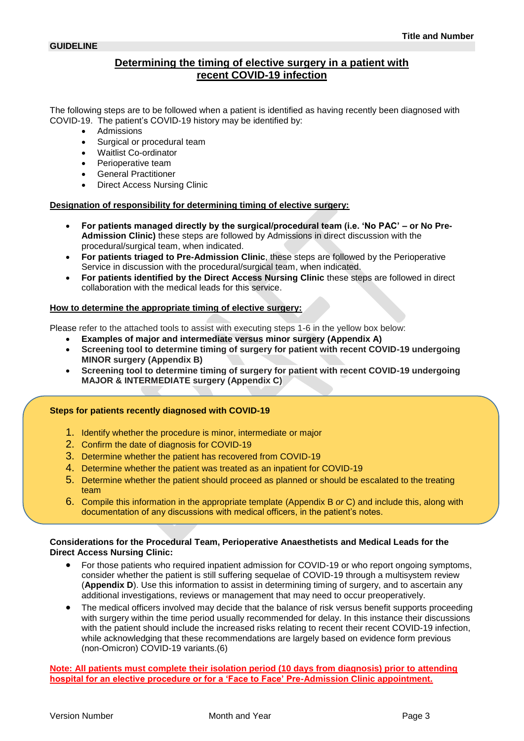## **Determining the timing of elective surgery in a patient with recent COVID-19 infection**

The following steps are to be followed when a patient is identified as having recently been diagnosed with COVID-19. The patient's COVID-19 history may be identified by:

- Admissions
- Surgical or procedural team
- Waitlist Co-ordinator
- Perioperative team
- General Practitioner
- Direct Access Nursing Clinic

#### **Designation of responsibility for determining timing of elective surgery:**

- **For patients managed directly by the surgical/procedural team (i.e. 'No PAC' – or No Pre-Admission Clinic)** these steps are followed by Admissions in direct discussion with the procedural/surgical team, when indicated.
- **For patients triaged to Pre-Admission Clinic**, these steps are followed by the Perioperative Service in discussion with the procedural/surgical team, when indicated.
- **For patients identified by the Direct Access Nursing Clinic** these steps are followed in direct collaboration with the medical leads for this service.

#### **How to determine the appropriate timing of elective surgery:**

Please refer to the attached tools to assist with executing steps 1-6 in the yellow box below:

- **Examples of major and intermediate versus minor surgery (Appendix A)**
- **Screening tool to determine timing of surgery for patient with recent COVID-19 undergoing MINOR surgery (Appendix B)**
- **Screening tool to determine timing of surgery for patient with recent COVID-19 undergoing MAJOR & INTERMEDIATE surgery (Appendix C)**

#### **Steps for patients recently diagnosed with COVID-19**

- 1. Identify whether the procedure is minor, intermediate or major
- 2. Confirm the date of diagnosis for COVID-19
- 3. Determine whether the patient has recovered from COVID-19
- 4. Determine whether the patient was treated as an inpatient for COVID-19
- 5. Determine whether the patient should proceed as planned or should be escalated to the treating team
- 6. Compile this information in the appropriate template (Appendix B *or* C) and include this, along with documentation of any discussions with medical officers, in the patient's notes.

#### **Considerations for the Procedural Team, Perioperative Anaesthetists and Medical Leads for the Direct Access Nursing Clinic:**

- For those patients who required inpatient admission for COVID-19 or who report ongoing symptoms, consider whether the patient is still suffering sequelae of COVID-19 through a multisystem review (**Appendix D**). Use this information to assist in determining timing of surgery, and to ascertain any additional investigations, reviews or management that may need to occur preoperatively.
- The medical officers involved may decide that the balance of risk versus benefit supports proceeding with surgery within the time period usually recommended for delay. In this instance their discussions with the patient should include the increased risks relating to recent their recent COVID-19 infection, while acknowledging that these recommendations are largely based on evidence form previous (non-Omicron) COVID-19 variants.(6)

**Note: All patients must complete their isolation period (10 days from diagnosis) prior to attending hospital for an elective procedure or for a 'Face to Face' Pre-Admission Clinic appointment.**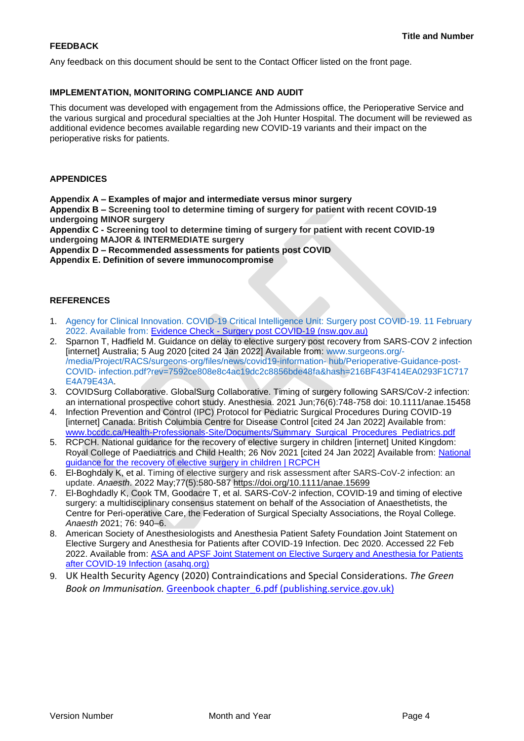#### **FEEDBACK**

Any feedback on this document should be sent to the Contact Officer listed on the front page.

#### **IMPLEMENTATION, MONITORING COMPLIANCE AND AUDIT**

This document was developed with engagement from the Admissions office, the Perioperative Service and the various surgical and procedural specialties at the Joh Hunter Hospital. The document will be reviewed as additional evidence becomes available regarding new COVID-19 variants and their impact on the perioperative risks for patients.

#### **APPENDICES**

**Appendix A – Examples of major and intermediate versus minor surgery**

**Appendix B – Screening tool to determine timing of surgery for patient with recent COVID-19 undergoing MINOR surgery**

**Appendix C - Screening tool to determine timing of surgery for patient with recent COVID-19 undergoing MAJOR & INTERMEDIATE surgery**

**Appendix D – Recommended assessments for patients post COVID**

**Appendix E. Definition of severe immunocompromise**

#### **REFERENCES**

- 1. Agency for Clinical Innovation. COVID-19 Critical Intelligence Unit: Surgery post COVID-19. 11 February 2022. Available from: Evidence Check - [Surgery post COVID-19 \(nsw.gov.au\)](https://aci.health.nsw.gov.au/__data/assets/pdf_file/0011/702974/Evidence-Check-Surgery-post-COVID-19.pdf)
- 2. Sparnon T, Hadfield M. Guidance on delay to elective surgery post recovery from SARS-COV 2 infection [internet] Australia; 5 Aug 2020 [cited 24 Jan 2022] Available from: www.surgeons.org/- /media/Project/RACS/surgeons-org/files/news/covid19-information- hub/Perioperative-Guidance-post-COVID- infection.pdf?rev=7592ce808e8c4ac19dc2c8856bde48fa&hash=216BF43F414EA0293F1C717 E4A79E43A.
- 3. COVIDSurg Collaborative. GlobalSurg Collaborative. Timing of surgery following SARS/CoV-2 infection: an international prospective cohort study. Anesthesia. 2021 Jun;76(6):748-758 doi: 10.1111/anae.15458
- 4. Infection Prevention and Control (IPC) Protocol for Pediatric Surgical Procedures During COVID-19 [internet] Canada: British Columbia Centre for Disease Control [cited 24 Jan 2022] Available from: [www.bccdc.ca/Health-Professionals-Site/Documents/Summary\\_Surgical\\_Procedures\\_Pediatrics.pdf](http://www.bccdc.ca/Health-Professionals-Site/Documents/Summary_Surgical_Procedures_Pediatrics.pdf)
- 5. RCPCH. National guidance for the recovery of elective surgery in children [internet] United Kingdom: Royal College of Paediatrics and Child Health; 26 Nov 2021 [cited 24 Jan 2022] Available from: [National](https://www.rcpch.ac.uk/resources/national-guidance-recovery-elective-surgery-children)  [guidance for the recovery of elective surgery in children | RCPCH](https://www.rcpch.ac.uk/resources/national-guidance-recovery-elective-surgery-children)
- 6. El-Boghdaly K, et al. Timing of elective surgery and risk assessment after SARS-CoV-2 infection: an update. *Anaesth*. 2022 May;77(5):580-587<https://doi.org/10.1111/anae.15699>
- 7. El-Boghdadly K, Cook TM, Goodacre T, et al. SARS-CoV-2 infection, COVID-19 and timing of elective surgery: a multidisciplinary consensus statement on behalf of the Association of Anaesthetists, the Centre for Peri-operative Care, the Federation of Surgical Specialty Associations, the Royal College. *Anaesth* 2021; 76: 940–6.
- 8. American Society of Anesthesiologists and Anesthesia Patient Safety Foundation Joint Statement on Elective Surgery and Anesthesia for Patients after COVID-19 Infection. Dec 2020. Accessed 22 Feb 2022. Available from: [ASA and APSF Joint Statement on Elective Surgery and Anesthesia for Patients](https://www.asahq.org/about-asa/newsroom/news-releases/2020/12/asa-and-apsf-joint-statement-on-elective-surgery-and-anesthesia-for-patients-after-covid-19-infection)  [after COVID-19 Infection \(asahq.org\)](https://www.asahq.org/about-asa/newsroom/news-releases/2020/12/asa-and-apsf-joint-statement-on-elective-surgery-and-anesthesia-for-patients-after-covid-19-infection)
- 9. UK Health Security Agency (2020) Contraindications and Special Considerations. *The Green Book on Immunisation.* [Greenbook chapter\\_6.pdf \(publishing.service.gov.uk\)](https://assets.publishing.service.gov.uk/government/uploads/system/uploads/attachment_data/file/655225/Greenbook_chapter_6.pdf)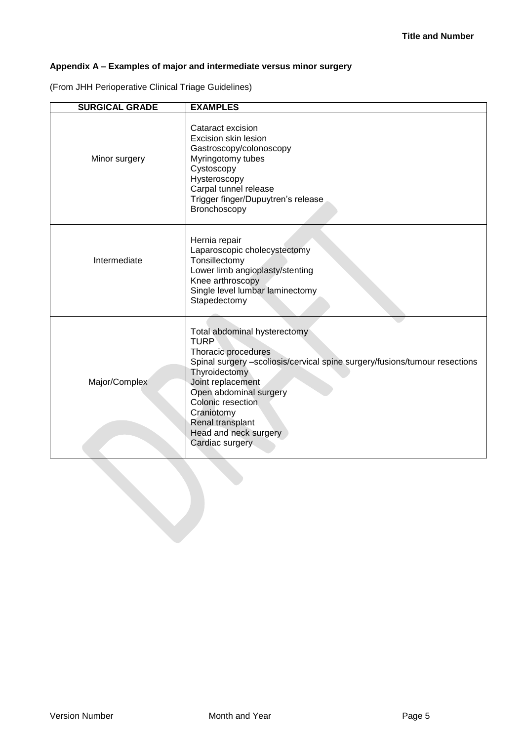# **Appendix A – Examples of major and intermediate versus minor surgery**

(From JHH Perioperative Clinical Triage Guidelines)

| <b>SURGICAL GRADE</b> | <b>EXAMPLES</b>                                                                                                                                                                                                                                                                                                     |
|-----------------------|---------------------------------------------------------------------------------------------------------------------------------------------------------------------------------------------------------------------------------------------------------------------------------------------------------------------|
| Minor surgery         | Cataract excision<br>Excision skin lesion<br>Gastroscopy/colonoscopy<br>Myringotomy tubes<br>Cystoscopy<br>Hysteroscopy<br>Carpal tunnel release<br>Trigger finger/Dupuytren's release<br>Bronchoscopy                                                                                                              |
| Intermediate          | Hernia repair<br>Laparoscopic cholecystectomy<br>Tonsillectomy<br>Lower limb angioplasty/stenting<br>Knee arthroscopy<br>Single level lumbar laminectomy<br>Stapedectomy                                                                                                                                            |
| Major/Complex         | Total abdominal hysterectomy<br><b>TURP</b><br>Thoracic procedures<br>Spinal surgery -scoliosis/cervical spine surgery/fusions/tumour resections<br>Thyroidectomy<br>Joint replacement<br>Open abdominal surgery<br>Colonic resection<br>Craniotomy<br>Renal transplant<br>Head and neck surgery<br>Cardiac surgery |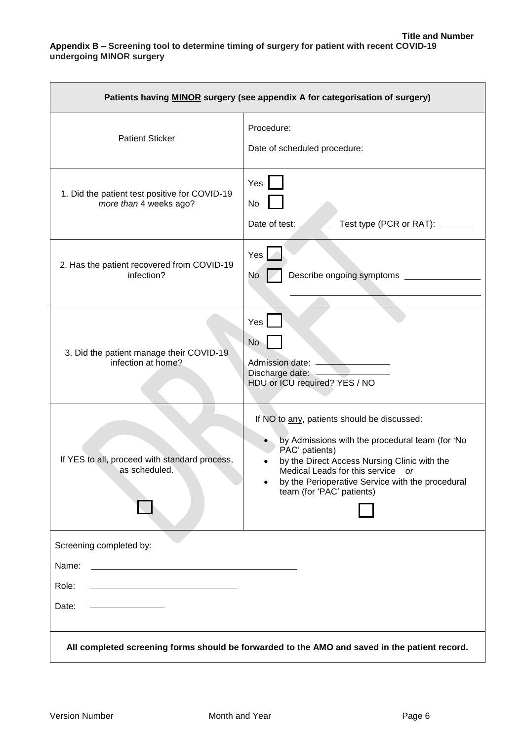| Patients having <b>MINOR</b> surgery (see appendix A for categorisation of surgery)           |                                                                                                                                                                                                                                                                                                  |  |
|-----------------------------------------------------------------------------------------------|--------------------------------------------------------------------------------------------------------------------------------------------------------------------------------------------------------------------------------------------------------------------------------------------------|--|
| <b>Patient Sticker</b>                                                                        | Procedure:<br>Date of scheduled procedure:                                                                                                                                                                                                                                                       |  |
| 1. Did the patient test positive for COVID-19<br>more than 4 weeks ago?                       | Yes<br>No<br>Date of test:<br>Test type (PCR or RAT): ______                                                                                                                                                                                                                                     |  |
| 2. Has the patient recovered from COVID-19<br>infection?                                      | Yes<br>No.                                                                                                                                                                                                                                                                                       |  |
| 3. Did the patient manage their COVID-19<br>infection at home?                                | Yes<br><b>No</b><br>Admission date: <u>__________________</u><br>Discharge date:<br>HDU or ICU required? YES / NO                                                                                                                                                                                |  |
| If YES to all, proceed with standard process,<br>as scheduled.                                | If NO to any, patients should be discussed:<br>by Admissions with the procedural team (for 'No<br>PAC' patients)<br>by the Direct Access Nursing Clinic with the<br>Medical Leads for this service<br><b>or</b><br>by the Perioperative Service with the procedural<br>team (for 'PAC' patients) |  |
| Screening completed by:                                                                       |                                                                                                                                                                                                                                                                                                  |  |
| Name:                                                                                         |                                                                                                                                                                                                                                                                                                  |  |
| Role:                                                                                         |                                                                                                                                                                                                                                                                                                  |  |
| Date:                                                                                         |                                                                                                                                                                                                                                                                                                  |  |
| All completed screening forms should be forwarded to the AMO and saved in the patient record. |                                                                                                                                                                                                                                                                                                  |  |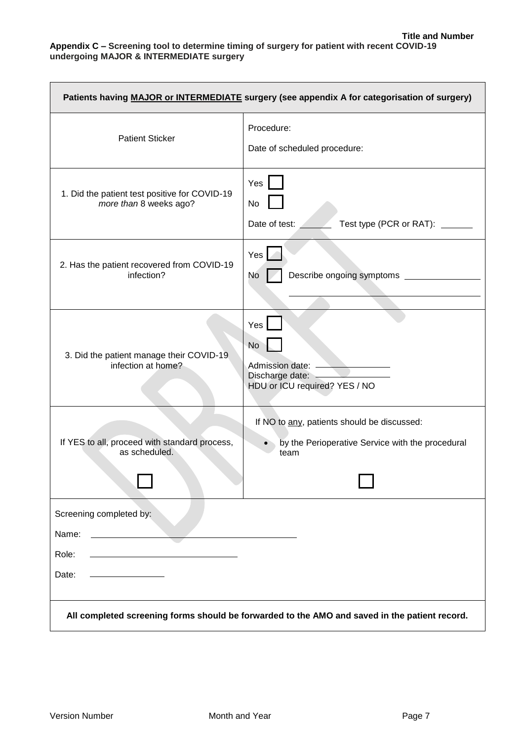| Patients having MAJOR or INTERMEDIATE surgery (see appendix A for categorisation of surgery)  |                                                                                                         |  |
|-----------------------------------------------------------------------------------------------|---------------------------------------------------------------------------------------------------------|--|
| <b>Patient Sticker</b>                                                                        | Procedure:<br>Date of scheduled procedure:                                                              |  |
| 1. Did the patient test positive for COVID-19<br>more than 8 weeks ago?                       | Yes<br>No<br>Date of test:<br>Test type (PCR or RAT): ____                                              |  |
| 2. Has the patient recovered from COVID-19<br>infection?                                      | Yes<br>Describe ongoing symptoms ____<br>No                                                             |  |
| 3. Did the patient manage their COVID-19<br>infection at home?                                | Yes<br><b>No</b><br>Admission date:<br>Discharge date:<br>HDU or ICU required? YES / NO                 |  |
| If YES to all, proceed with standard process,<br>as scheduled.                                | If NO to any, patients should be discussed:<br>by the Perioperative Service with the procedural<br>team |  |
| Screening completed by:<br>Name:<br>Role:<br>Date:                                            |                                                                                                         |  |
| All completed screening forms should be forwarded to the AMO and saved in the patient record. |                                                                                                         |  |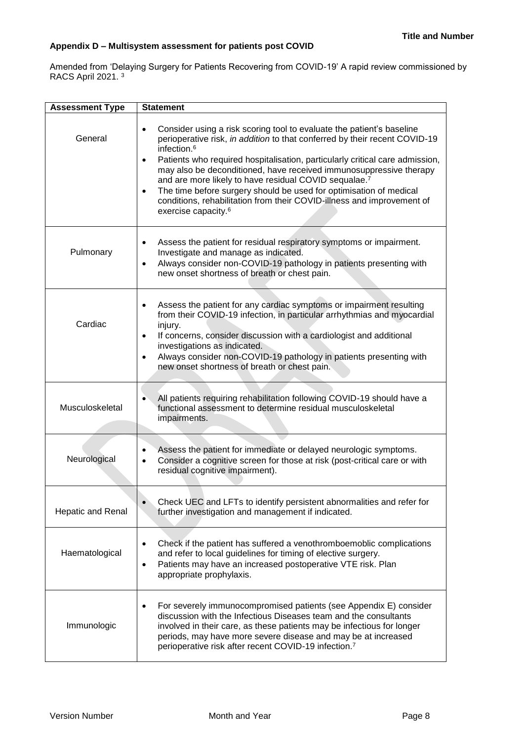### **Appendix D – Multisystem assessment for patients post COVID**

Amended from 'Delaying Surgery for Patients Recovering from COVID-19' A rapid review commissioned by RACS April 2021. <sup>3</sup>

| <b>Assessment Type</b> | <b>Statement</b>                                                                                                                                                                                                                                                                                                                                                                                                                                                                                                                                                                                                        |
|------------------------|-------------------------------------------------------------------------------------------------------------------------------------------------------------------------------------------------------------------------------------------------------------------------------------------------------------------------------------------------------------------------------------------------------------------------------------------------------------------------------------------------------------------------------------------------------------------------------------------------------------------------|
| General                | Consider using a risk scoring tool to evaluate the patient's baseline<br>$\bullet$<br>perioperative risk, in addition to that conferred by their recent COVID-19<br>infection. <sup>6</sup><br>Patients who required hospitalisation, particularly critical care admission,<br>$\bullet$<br>may also be deconditioned, have received immunosuppressive therapy<br>and are more likely to have residual COVID sequalae.7<br>The time before surgery should be used for optimisation of medical<br>$\bullet$<br>conditions, rehabilitation from their COVID-illness and improvement of<br>exercise capacity. <sup>6</sup> |
| Pulmonary              | Assess the patient for residual respiratory symptoms or impairment.<br>Investigate and manage as indicated.<br>Always consider non-COVID-19 pathology in patients presenting with<br>$\bullet$<br>new onset shortness of breath or chest pain.                                                                                                                                                                                                                                                                                                                                                                          |
| Cardiac                | Assess the patient for any cardiac symptoms or impairment resulting<br>from their COVID-19 infection, in particular arrhythmias and myocardial<br>injury.<br>If concerns, consider discussion with a cardiologist and additional<br>$\bullet$<br>investigations as indicated.<br>Always consider non-COVID-19 pathology in patients presenting with<br>$\bullet$<br>new onset shortness of breath or chest pain.                                                                                                                                                                                                        |
| Musculoskeletal        | All patients requiring rehabilitation following COVID-19 should have a<br>functional assessment to determine residual musculoskeletal<br>impairments.                                                                                                                                                                                                                                                                                                                                                                                                                                                                   |
| Neurological           | Assess the patient for immediate or delayed neurologic symptoms.<br>$\bullet$<br>Consider a cognitive screen for those at risk (post-critical care or with<br>$\bullet$<br>residual cognitive impairment).                                                                                                                                                                                                                                                                                                                                                                                                              |
| Hepatic and Renal      | Check UEC and LFTs to identify persistent abnormalities and refer for<br>further investigation and management if indicated.                                                                                                                                                                                                                                                                                                                                                                                                                                                                                             |
| Haematological         | Check if the patient has suffered a venothromboemoblic complications<br>and refer to local guidelines for timing of elective surgery.<br>Patients may have an increased postoperative VTE risk. Plan<br>٠<br>appropriate prophylaxis.                                                                                                                                                                                                                                                                                                                                                                                   |
| Immunologic            | For severely immunocompromised patients (see Appendix E) consider<br>$\bullet$<br>discussion with the Infectious Diseases team and the consultants<br>involved in their care, as these patients may be infectious for longer<br>periods, may have more severe disease and may be at increased<br>perioperative risk after recent COVID-19 infection. <sup>7</sup>                                                                                                                                                                                                                                                       |